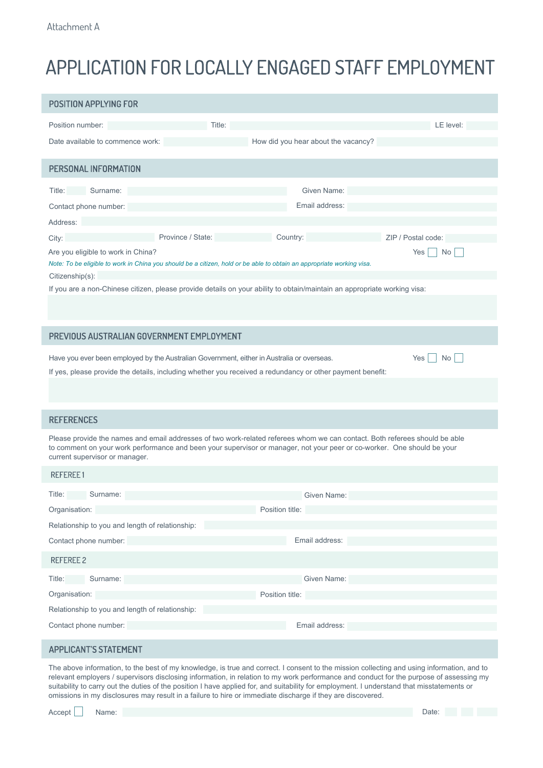## APPLICATION FOR LOCALLY ENGAGED STAFF EMPLOYMENT

| <b>POSITION APPLYING FOR</b>                                                                                                                                                                                                                                                             |                 |                                     |                    |
|------------------------------------------------------------------------------------------------------------------------------------------------------------------------------------------------------------------------------------------------------------------------------------------|-----------------|-------------------------------------|--------------------|
| Position number:                                                                                                                                                                                                                                                                         | Title:          |                                     | LE level:          |
| Date available to commence work:                                                                                                                                                                                                                                                         |                 | How did you hear about the vacancy? |                    |
| PERSONAL INFORMATION                                                                                                                                                                                                                                                                     |                 |                                     |                    |
| Surname:<br>Title:                                                                                                                                                                                                                                                                       |                 | Given Name:                         |                    |
| Contact phone number:                                                                                                                                                                                                                                                                    |                 | Email address:                      |                    |
| Address:                                                                                                                                                                                                                                                                                 |                 |                                     |                    |
| Province / State:<br>City:                                                                                                                                                                                                                                                               | Country:        |                                     | ZIP / Postal code: |
| Are you eligible to work in China?<br>Yes<br>No<br>Note: To be eligible to work in China you should be a citizen, hold or be able to obtain an appropriate working visa.                                                                                                                 |                 |                                     |                    |
| Citizenship(s):<br>If you are a non-Chinese citizen, please provide details on your ability to obtain/maintain an appropriate working visa:                                                                                                                                              |                 |                                     |                    |
|                                                                                                                                                                                                                                                                                          |                 |                                     |                    |
| PREVIOUS AUSTRALIAN GOVERNMENT EMPLOYMENT                                                                                                                                                                                                                                                |                 |                                     |                    |
| Have you ever been employed by the Australian Government, either in Australia or overseas.<br>Yes<br>No.<br>If yes, please provide the details, including whether you received a redundancy or other payment benefit:                                                                    |                 |                                     |                    |
| <b>REFERENCES</b>                                                                                                                                                                                                                                                                        |                 |                                     |                    |
|                                                                                                                                                                                                                                                                                          |                 |                                     |                    |
| Please provide the names and email addresses of two work-related referees whom we can contact. Both referees should be able<br>to comment on your work performance and been your supervisor or manager, not your peer or co-worker. One should be your<br>current supervisor or manager. |                 |                                     |                    |
| <b>REFEREE1</b>                                                                                                                                                                                                                                                                          |                 |                                     |                    |
| Title:<br>Surname:                                                                                                                                                                                                                                                                       |                 | Given Name:                         |                    |
| Organisation:                                                                                                                                                                                                                                                                            | Position title: |                                     |                    |
| Relationship to you and length of relationship:                                                                                                                                                                                                                                          |                 |                                     |                    |
| Contact phone number:                                                                                                                                                                                                                                                                    |                 | Email address:                      |                    |
| <b>REFEREE 2</b>                                                                                                                                                                                                                                                                         |                 |                                     |                    |
| Surname:<br>Title:                                                                                                                                                                                                                                                                       |                 | Given Name:                         |                    |
| Organisation:                                                                                                                                                                                                                                                                            | Position title: |                                     |                    |
| Relationship to you and length of relationship:                                                                                                                                                                                                                                          |                 |                                     |                    |
| Contact phone number:                                                                                                                                                                                                                                                                    |                 | Email address:                      |                    |

## **APPLICANT'S STATEMENT**

The above information, to the best of my knowledge, is true and correct. I consent to the mission collecting and using information, and to relevant employers / supervisors disclosing information, in relation to my work performance and conduct for the purpose of assessing my suitability to carry out the duties of the position I have applied for, and suitability for employment. I understand that misstatements or omissions in my disclosures may result in a failure to hire or immediate discharge if they are discovered.

Accept | Name: